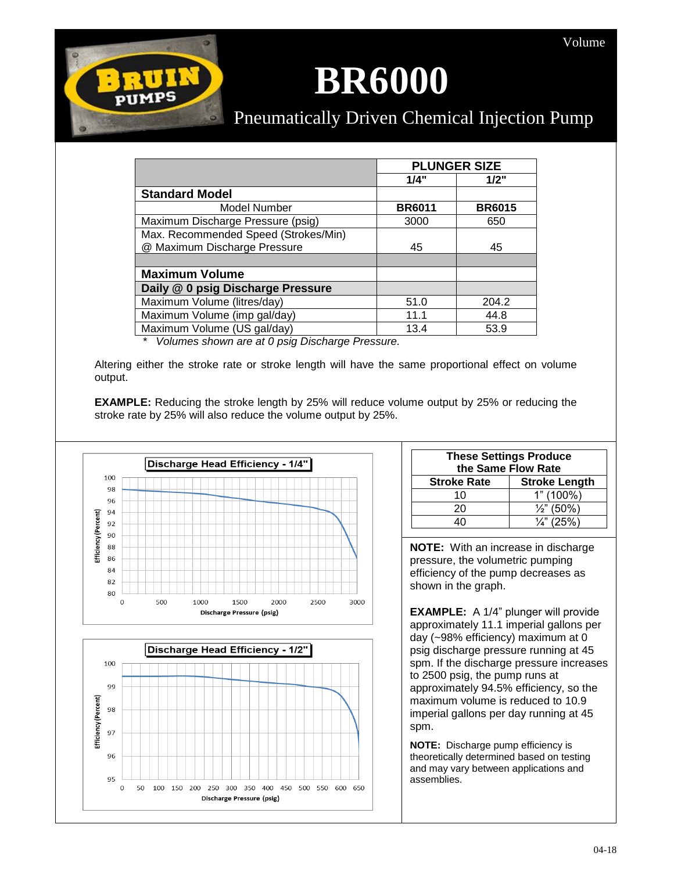## **BR6000**

## Pneumatically Driven Chemical Injection Pump

|                                      | <b>PLUNGER SIZE</b> |               |
|--------------------------------------|---------------------|---------------|
|                                      | 1/4"                | 1/2"          |
| <b>Standard Model</b>                |                     |               |
| Model Number                         | <b>BR6011</b>       | <b>BR6015</b> |
| Maximum Discharge Pressure (psig)    | 3000                | 650           |
| Max. Recommended Speed (Strokes/Min) |                     |               |
| @ Maximum Discharge Pressure         | 45                  | 45            |
|                                      |                     |               |
| <b>Maximum Volume</b>                |                     |               |
| Daily @ 0 psig Discharge Pressure    |                     |               |
| Maximum Volume (litres/day)          | 51.0                | 204.2         |
| Maximum Volume (imp gal/day)         | 11.1                | 44.8          |
| Maximum Volume (US gal/day)          | 13.4                | 53.9          |

*\* Volumes shown are at 0 psig Discharge Pressure.*

Altering either the stroke rate or stroke length will have the same proportional effect on volume output.

**EXAMPLE:** Reducing the stroke length by 25% will reduce volume output by 25% or reducing the stroke rate by 25% will also reduce the volume output by 25%.



 $\circ$ 



| <b>These Settings Produce</b><br>the Same Flow Rate |                       |  |
|-----------------------------------------------------|-----------------------|--|
| <b>Stroke Rate</b>                                  | <b>Stroke Length</b>  |  |
| 10                                                  | $1" (100\%)$          |  |
| 20                                                  | $\frac{1}{2}$ " (50%) |  |
|                                                     | $\frac{1}{4}$ " (25%) |  |

**NOTE:** With an increase in discharge pressure, the volumetric pumping efficiency of the pump decreases as shown in the graph.

**EXAMPLE:** A 1/4" plunger will provide approximately 11.1 imperial gallons per day (~98% efficiency) maximum at 0 psig discharge pressure running at 45 spm. If the discharge pressure increases to 2500 psig, the pump runs at approximately 94.5% efficiency, so the maximum volume is reduced to 10.9 imperial gallons per day running at 45 spm.

**NOTE:** Discharge pump efficiency is theoretically determined based on testing and may vary between applications and assemblies.